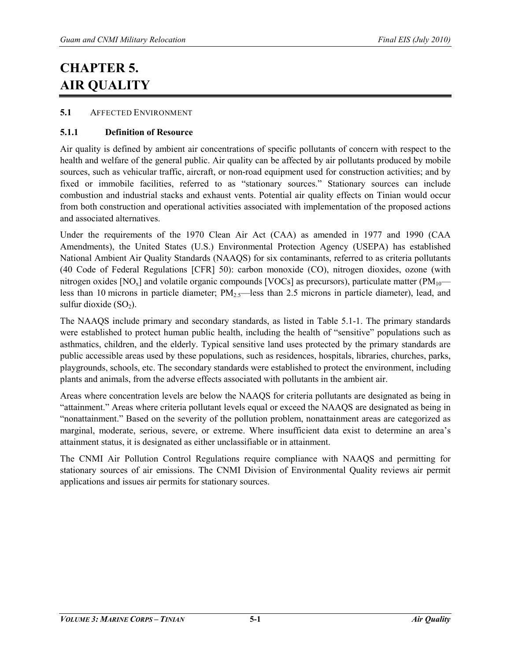# **CHAPTER 5. AIR QUALITY**

# **5.1** AFFECTED ENVIRONMENT

# **5.1.1 Definition of Resource**

Air quality is defined by ambient air concentrations of specific pollutants of concern with respect to the health and welfare of the general public. Air quality can be affected by air pollutants produced by mobile sources, such as vehicular traffic, aircraft, or non-road equipment used for construction activities; and by fixed or immobile facilities, referred to as "stationary sources." Stationary sources can include combustion and industrial stacks and exhaust vents. Potential air quality effects on Tinian would occur from both construction and operational activities associated with implementation of the proposed actions and associated alternatives.

Under the requirements of the 1970 Clean Air Act (CAA) as amended in 1977 and 1990 (CAA Amendments), the United States (U.S.) Environmental Protection Agency (USEPA) has established National Ambient Air Quality Standards (NAAQS) for six contaminants, referred to as criteria pollutants (40 Code of Federal Regulations [CFR] 50): carbon monoxide (CO), nitrogen dioxides, ozone (with nitrogen oxides  $[NO_x]$  and volatile organic compounds  $[VOCs]$  as precursors), particulate matter  $(PM_{10}$  less than 10 microns in particle diameter;  $PM_{2.5}$ —less than 2.5 microns in particle diameter), lead, and sulfur dioxide  $(SO<sub>2</sub>)$ .

The NAAQS include primary and secondary standards, as listed in Table 5.1-1. The primary standards were established to protect human public health, including the health of "sensitive" populations such as asthmatics, children, and the elderly. Typical sensitive land uses protected by the primary standards are public accessible areas used by these populations, such as residences, hospitals, libraries, churches, parks, playgrounds, schools, etc. The secondary standards were established to protect the environment, including plants and animals, from the adverse effects associated with pollutants in the ambient air.

Areas where concentration levels are below the NAAQS for criteria pollutants are designated as being in "attainment." Areas where criteria pollutant levels equal or exceed the NAAQS are designated as being in "nonattainment." Based on the severity of the pollution problem, nonattainment areas are categorized as marginal, moderate, serious, severe, or extreme. Where insufficient data exist to determine an area's attainment status, it is designated as either unclassifiable or in attainment.

The CNMI Air Pollution Control Regulations require compliance with NAAQS and permitting for stationary sources of air emissions. The CNMI Division of Environmental Quality reviews air permit applications and issues air permits for stationary sources.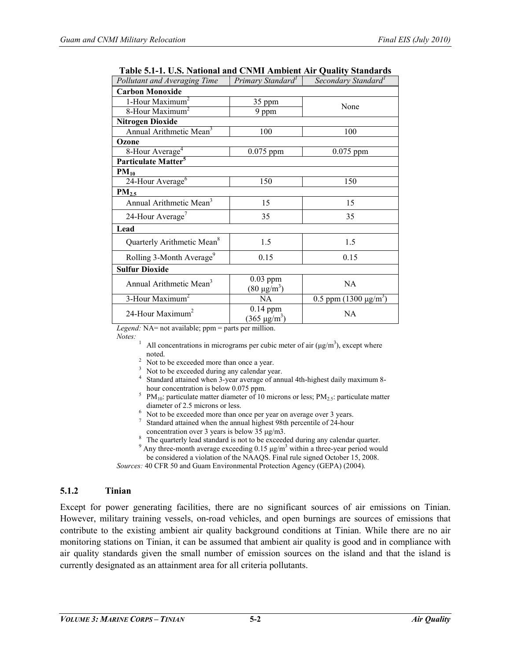| radic 3.1-1. O.S. National and Civilii Ambicht An 'Quanty Standarus'<br>Pollutant and Averaging Time | Primary Standard <sup>1</sup>              | Secondary Standard <sup>1</sup> |  |  |  |
|------------------------------------------------------------------------------------------------------|--------------------------------------------|---------------------------------|--|--|--|
| <b>Carbon Monoxide</b>                                                                               |                                            |                                 |  |  |  |
|                                                                                                      |                                            |                                 |  |  |  |
| 1-Hour Maximum <sup>2</sup>                                                                          | 35 ppm                                     | None                            |  |  |  |
| 8-Hour Maximum <sup>2</sup>                                                                          | 9 ppm                                      |                                 |  |  |  |
| <b>Nitrogen Dioxide</b>                                                                              |                                            |                                 |  |  |  |
| Annual Arithmetic Mean <sup>3</sup>                                                                  | 100                                        | 100                             |  |  |  |
| Ozone                                                                                                |                                            |                                 |  |  |  |
| 8-Hour Average <sup>4</sup>                                                                          | $0.075$ ppm                                | $0.075$ ppm                     |  |  |  |
| Particulate Matter <sup>5</sup>                                                                      |                                            |                                 |  |  |  |
| $PM_{10}$                                                                                            |                                            |                                 |  |  |  |
| 24-Hour Average <sup>6</sup>                                                                         | 150                                        | 150                             |  |  |  |
| PM <sub>2.5</sub>                                                                                    |                                            |                                 |  |  |  |
| Annual Arithmetic Mean <sup>3</sup>                                                                  | 15                                         | 15                              |  |  |  |
| 24-Hour Average <sup>7</sup>                                                                         | 35                                         | 35                              |  |  |  |
| Lead                                                                                                 |                                            |                                 |  |  |  |
| Quarterly Arithmetic Mean <sup>8</sup>                                                               | 1.5                                        | 1.5                             |  |  |  |
| Rolling 3-Month Average <sup>9</sup>                                                                 | 0.15                                       | 0.15                            |  |  |  |
| <b>Sulfur Dioxide</b>                                                                                |                                            |                                 |  |  |  |
| Annual Arithmetic Mean <sup>3</sup>                                                                  | $0.03$ ppm<br>$(80 \,\mathrm{\mu g/m^3})$  | NA                              |  |  |  |
| 3-Hour Maximum <sup>2</sup>                                                                          | <b>NA</b>                                  | 0.5 ppm $(1300 \ \mu g/m^3)$    |  |  |  |
| 24-Hour Maximum <sup>2</sup>                                                                         | $0.14$ ppm<br>$(365 \,\mathrm{\mu g/m^3})$ | NA                              |  |  |  |

**Table 5.1-1. U.S. National and CNMI Ambient Air Quality Standards**

*Legend:* NA= not available; ppm = parts per million.

- *Notes:*<br><sup>1</sup> All concentrations in micrograms per cubic meter of air ( $\mu$ g/m<sup>3</sup>), except where
	-
	-
	- noted.<br>
	<sup>2</sup> Not to be exceeded during any calendar year.<br>
	<sup>3</sup> Not to be exceeded during any calendar year.<br>
	<sup>4</sup> Standard attained when 3-year average of annual 4th-highest daily maximum 8-<br>
	hour concentration is below 0.0
	- <sup>5</sup> PM<sub>10</sub>: particulate matter diameter of 10 microns or less; PM<sub>2.5</sub>: particulate matter diameter of 2.5 microns or less.
	-
	- Not to be exceeded more than once per year on average over 3 years. Standard attained when the annual highest 98th percentile of 24-hour concentration over 3 years is below 35  $\mu$ g/m3.
	-
	- <sup>8</sup> The quarterly lead standard is not to be exceeded during any calendar quarter.<br><sup>9</sup> Any three-month average exceeding 0.15  $\mu g/m^3$  within a three-year period would
	- be considered a violation of the NAAQS. Final rule signed October 15, 2008.

*Sources:* 40 CFR 50 and Guam Environmental Protection Agency (GEPA) (2004).

# **5.1.2 Tinian**

Except for power generating facilities, there are no significant sources of air emissions on Tinian. However, military training vessels, on-road vehicles, and open burnings are sources of emissions that contribute to the existing ambient air quality background conditions at Tinian. While there are no air monitoring stations on Tinian, it can be assumed that ambient air quality is good and in compliance with air quality standards given the small number of emission sources on the island and that the island is currently designated as an attainment area for all criteria pollutants.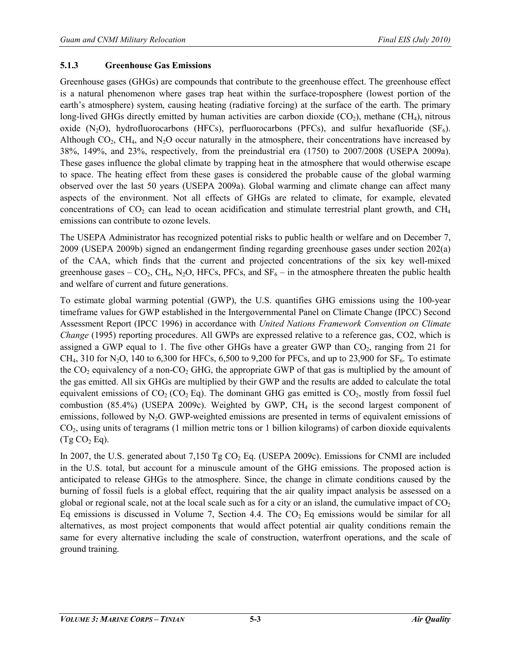#### **5.1.3 Greenhouse Gas Emissions**

Greenhouse gases (GHGs) are compounds that contribute to the greenhouse effect. The greenhouse effect is a natural phenomenon where gases trap heat within the surface-troposphere (lowest portion of the earth's atmosphere) system, causing heating (radiative forcing) at the surface of the earth. The primary long-lived GHGs directly emitted by human activities are carbon dioxide  $(CO<sub>2</sub>)$ , methane  $(CH<sub>4</sub>)$ , nitrous oxide  $(N_2O)$ , hydrofluorocarbons (HFCs), perfluorocarbons (PFCs), and sulfur hexafluoride (SF<sub>6</sub>). Although  $CO_2$ ,  $CH_4$ , and  $N_2O$  occur naturally in the atmosphere, their concentrations have increased by 38%, 149%, and 23%, respectively, from the preindustrial era (1750) to 2007/2008 (USEPA 2009a). These gases influence the global climate by trapping heat in the atmosphere that would otherwise escape to space. The heating effect from these gases is considered the probable cause of the global warming observed over the last 50 years (USEPA 2009a). Global warming and climate change can affect many aspects of the environment. Not all effects of GHGs are related to climate, for example, elevated concentrations of  $CO_2$  can lead to ocean acidification and stimulate terrestrial plant growth, and  $CH_4$ emissions can contribute to ozone levels.

The USEPA Administrator has recognized potential risks to public health or welfare and on December 7, 2009 (USEPA 2009b) signed an endangerment finding regarding greenhouse gases under section 202(a) of the CAA, which finds that the current and projected concentrations of the six key well-mixed greenhouse gases –  $CO_2$ , CH<sub>4</sub>, N<sub>2</sub>O, HFCs, PFCs, and SF<sub>6</sub> – in the atmosphere threaten the public health and welfare of current and future generations.

To estimate [global warming potential](http://en.wikipedia.org/wiki/Global_warming_potential) (GWP), the U.S. quantifies GHG emissions using the 100-year timeframe values for GWP established in the Intergovernmental Panel on Climate Change (IPCC) Second Assessment Report (IPCC 1996) in accordance with *United Nations Framework Convention on Climate Change* (1995) reporting procedures. All GWPs are expressed relative to a reference gas, CO2, which is assigned a GWP equal to 1. The five other GHGs have a greater GWP than  $CO<sub>2</sub>$ , ranging from 21 for CH<sub>4</sub>, 310 for N<sub>2</sub>O, 140 to 6,300 for HFCs, 6,500 to 9,200 for PFCs, and up to 23,900 for SF<sub>6</sub>. To estimate the  $CO<sub>2</sub>$  equivalency of a non-CO<sub>2</sub> GHG, the appropriate GWP of that gas is multiplied by the amount of the gas emitted. All six GHGs are multiplied by their GWP and the results are added to calculate the total equivalent emissions of  $CO_2$  ( $CO_2$  Eq). The dominant GHG gas emitted is  $CO_2$ , mostly from fossil fuel combustion  $(85.4\%)$  (USEPA 2009c). Weighted by GWP, CH<sub>4</sub> is the second largest component of emissions, followed by  $N_2O$ . GWP-weighted emissions are presented in terms of equivalent emissions of  $CO<sub>2</sub>$ , using units of teragrams (1 million metric tons or 1 billion kilograms) of carbon dioxide equivalents  $(Tg CO<sub>2</sub> Eq).$ 

In 2007, the U.S. generated about 7,150 Tg  $CO<sub>2</sub>$  Eq. (USEPA 2009c). Emissions for CNMI are included in the U.S. total, but account for a minuscule amount of the GHG emissions. The proposed action is anticipated to release GHGs to the atmosphere. Since, the change in climate conditions caused by the burning of fossil fuels is a global effect, requiring that the air quality impact analysis be assessed on a global or regional scale, not at the local scale such as for a city or an island, the cumulative impact of  $CO<sub>2</sub>$ Eq emissions is discussed in Volume 7, Section 4.4. The  $CO<sub>2</sub>$  Eq emissions would be similar for all alternatives, as most project components that would affect potential air quality conditions remain the same for every alternative including the scale of construction, waterfront operations, and the scale of ground training.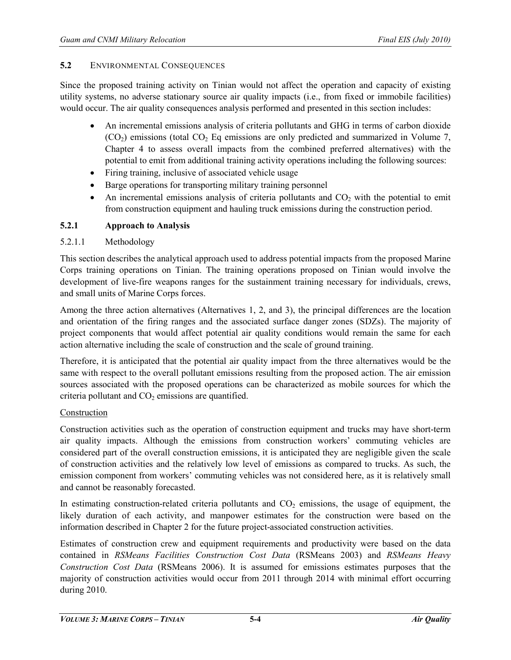## **5.2** ENVIRONMENTAL CONSEQUENCES

Since the proposed training activity on Tinian would not affect the operation and capacity of existing utility systems, no adverse stationary source air quality impacts (i.e., from fixed or immobile facilities) would occur. The air quality consequences analysis performed and presented in this section includes:

- An incremental emissions analysis of criteria pollutants and GHG in terms of carbon dioxide  $(CO<sub>2</sub>)$  emissions (total  $CO<sub>2</sub>$  Eq emissions are only predicted and summarized in Volume 7, Chapter 4 to assess overall impacts from the combined preferred alternatives) with the potential to emit from additional training activity operations including the following sources:
- Firing training, inclusive of associated vehicle usage
- Barge operations for transporting military training personnel
- An incremental emissions analysis of criteria pollutants and  $CO<sub>2</sub>$  with the potential to emit from construction equipment and hauling truck emissions during the construction period.

## **5.2.1 Approach to Analysis**

## 5.2.1.1 Methodology

This section describes the analytical approach used to address potential impacts from the proposed Marine Corps training operations on Tinian. The training operations proposed on Tinian would involve the development of live-fire weapons ranges for the sustainment training necessary for individuals, crews, and small units of Marine Corps forces.

Among the three action alternatives (Alternatives 1, 2, and 3), the principal differences are the location and orientation of the firing ranges and the associated surface danger zones (SDZs). The majority of project components that would affect potential air quality conditions would remain the same for each action alternative including the scale of construction and the scale of ground training.

Therefore, it is anticipated that the potential air quality impact from the three alternatives would be the same with respect to the overall pollutant emissions resulting from the proposed action. The air emission sources associated with the proposed operations can be characterized as mobile sources for which the criteria pollutant and  $CO<sub>2</sub>$  emissions are quantified.

## Construction

Construction activities such as the operation of construction equipment and trucks may have short-term air quality impacts. Although the emissions from construction workers' commuting vehicles are considered part of the overall construction emissions, it is anticipated they are negligible given the scale of construction activities and the relatively low level of emissions as compared to trucks. As such, the emission component from workers' commuting vehicles was not considered here, as it is relatively small and cannot be reasonably forecasted.

In estimating construction-related criteria pollutants and  $CO<sub>2</sub>$  emissions, the usage of equipment, the likely duration of each activity, and manpower estimates for the construction were based on the information described in Chapter 2 for the future project-associated construction activities.

Estimates of construction crew and equipment requirements and productivity were based on the data contained in *RSMeans Facilities Construction Cost Data* (RSMeans 2003) and *RSMeans Heavy Construction Cost Data* (RSMeans 2006). It is assumed for emissions estimates purposes that the majority of construction activities would occur from 2011 through 2014 with minimal effort occurring during 2010.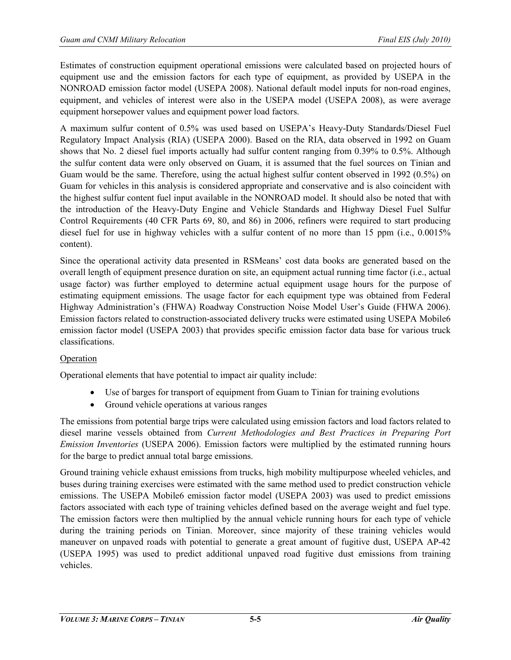Estimates of construction equipment operational emissions were calculated based on projected hours of equipment use and the emission factors for each type of equipment, as provided by USEPA in the NONROAD emission factor model (USEPA 2008). National default model inputs for non-road engines, equipment, and vehicles of interest were also in the USEPA model (USEPA 2008), as were average equipment horsepower values and equipment power load factors.

A maximum sulfur content of 0.5% was used based on USEPA's Heavy-Duty Standards/Diesel Fuel Regulatory Impact Analysis (RIA) (USEPA 2000). Based on the RIA, data observed in 1992 on Guam shows that No. 2 diesel fuel imports actually had sulfur content ranging from 0.39% to 0.5%. Although the sulfur content data were only observed on Guam, it is assumed that the fuel sources on Tinian and Guam would be the same. Therefore, using the actual highest sulfur content observed in 1992 (0.5%) on Guam for vehicles in this analysis is considered appropriate and conservative and is also coincident with the highest sulfur content fuel input available in the NONROAD model. It should also be noted that with the introduction of the Heavy-Duty Engine and Vehicle Standards and Highway Diesel Fuel Sulfur Control Requirements (40 CFR Parts 69, 80, and 86) in 2006, refiners were required to start producing diesel fuel for use in highway vehicles with a sulfur content of no more than 15 ppm (i.e., 0.0015%) content).

Since the operational activity data presented in RSMeans' cost data books are generated based on the overall length of equipment presence duration on site, an equipment actual running time factor (i.e., actual usage factor) was further employed to determine actual equipment usage hours for the purpose of estimating equipment emissions. The usage factor for each equipment type was obtained from Federal Highway Administration's (FHWA) Roadway Construction Noise Model User's Guide (FHWA 2006). Emission factors related to construction-associated delivery trucks were estimated using USEPA Mobile6 emission factor model (USEPA 2003) that provides specific emission factor data base for various truck classifications.

## Operation

Operational elements that have potential to impact air quality include:

- Use of barges for transport of equipment from Guam to Tinian for training evolutions
- Ground vehicle operations at various ranges

The emissions from potential barge trips were calculated using emission factors and load factors related to diesel marine vessels obtained from *Current Methodologies and Best Practices in Preparing Port Emission Inventories* (USEPA 2006). Emission factors were multiplied by the estimated running hours for the barge to predict annual total barge emissions.

Ground training vehicle exhaust emissions from trucks, high mobility multipurpose wheeled vehicles, and buses during training exercises were estimated with the same method used to predict construction vehicle emissions. The USEPA Mobile6 emission factor model (USEPA 2003) was used to predict emissions factors associated with each type of training vehicles defined based on the average weight and fuel type. The emission factors were then multiplied by the annual vehicle running hours for each type of vehicle during the training periods on Tinian. Moreover, since majority of these training vehicles would maneuver on unpaved roads with potential to generate a great amount of fugitive dust, USEPA AP-42 (USEPA 1995) was used to predict additional unpaved road fugitive dust emissions from training vehicles.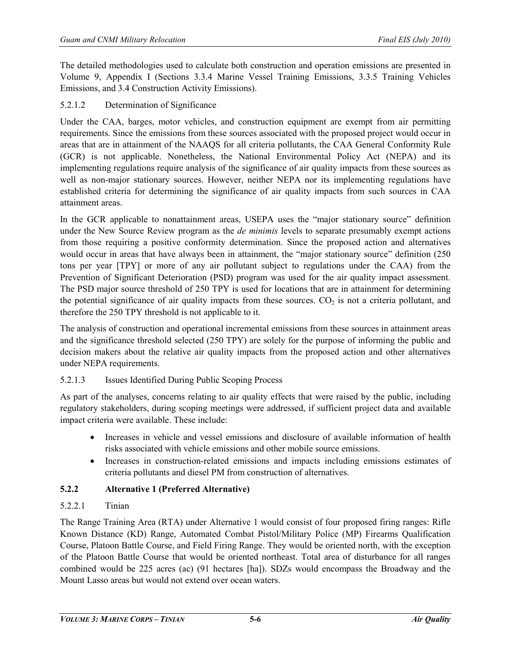The detailed methodologies used to calculate both construction and operation emissions are presented in Volume 9, Appendix I (Sections 3.3.4 Marine Vessel Training Emissions, 3.3.5 Training Vehicles Emissions, and 3.4 Construction Activity Emissions).

## 5.2.1.2 Determination of Significance

Under the CAA, barges, motor vehicles, and construction equipment are exempt from air permitting requirements. Since the emissions from these sources associated with the proposed project would occur in areas that are in attainment of the NAAQS for all criteria pollutants, the CAA General Conformity Rule (GCR) is not applicable. Nonetheless, the National Environmental Policy Act (NEPA) and its implementing regulations require analysis of the significance of air quality impacts from these sources as well as non-major stationary sources. However, neither NEPA nor its implementing regulations have established criteria for determining the significance of air quality impacts from such sources in CAA attainment areas.

In the GCR applicable to nonattainment areas, USEPA uses the "major stationary source" definition under the New Source Review program as the *de minimis* levels to separate presumably exempt actions from those requiring a positive conformity determination. Since the proposed action and alternatives would occur in areas that have always been in attainment, the "major stationary source" definition (250 tons per year [TPY] or more of any air pollutant subject to regulations under the CAA) from the Prevention of Significant Deterioration (PSD) program was used for the air quality impact assessment. The PSD major source threshold of 250 TPY is used for locations that are in attainment for determining the potential significance of air quality impacts from these sources.  $CO<sub>2</sub>$  is not a criteria pollutant, and therefore the 250 TPY threshold is not applicable to it.

The analysis of construction and operational incremental emissions from these sources in attainment areas and the significance threshold selected (250 TPY) are solely for the purpose of informing the public and decision makers about the relative air quality impacts from the proposed action and other alternatives under NEPA requirements.

## 5.2.1.3 Issues Identified During Public Scoping Process

As part of the analyses, concerns relating to air quality effects that were raised by the public, including regulatory stakeholders, during scoping meetings were addressed, if sufficient project data and available impact criteria were available. These include:

- Increases in vehicle and vessel emissions and disclosure of available information of health risks associated with vehicle emissions and other mobile source emissions.
- Increases in construction-related emissions and impacts including emissions estimates of criteria pollutants and diesel PM from construction of alternatives.

## **5.2.2 Alternative 1 (Preferred Alternative)**

## 5.2.2.1 Tinian

The Range Training Area (RTA) under Alternative 1 would consist of four proposed firing ranges: Rifle Known Distance (KD) Range, Automated Combat Pistol/Military Police (MP) Firearms Qualification Course, Platoon Battle Course, and Field Firing Range. They would be oriented north, with the exception of the Platoon Battle Course that would be oriented northeast. Total area of disturbance for all ranges combined would be 225 acres (ac) (91 hectares [ha]). SDZs would encompass the Broadway and the Mount Lasso areas but would not extend over ocean waters.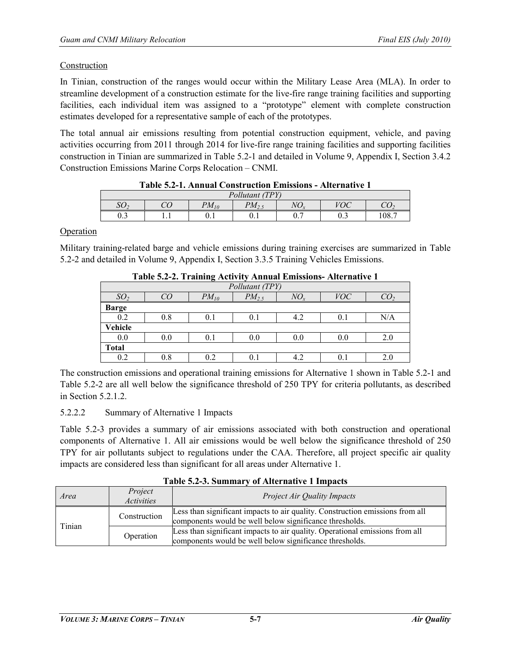#### Construction

In Tinian, construction of the ranges would occur within the Military Lease Area (MLA). In order to streamline development of a construction estimate for the live-fire range training facilities and supporting facilities, each individual item was assigned to a "prototype" element with complete construction estimates developed for a representative sample of each of the prototypes.

The total annual air emissions resulting from potential construction equipment, vehicle, and paving activities occurring from 2011 through 2014 for live-fire range training facilities and supporting facilities construction in Tinian are summarized in Table 5.2-1 and detailed in Volume 9, Appendix I, Section 3.4.2 Construction Emissions Marine Corps Relocation – CNMI.

|                 |  |                         | Taon 9.2 T. Annual Construction Emissions |    | $\mathbf{111} \mathbf{121} \mathbf{131} \mathbf{141}$ |     |
|-----------------|--|-------------------------|-------------------------------------------|----|-------------------------------------------------------|-----|
| Pollutant (TPY) |  |                         |                                           |    |                                                       |     |
|                 |  | $\mathbf{^{D}}\!M_{I0}$ | $\mathcal{D}M_2$                          | VO | $7\Omega C$                                           |     |
| ບ.∠             |  |                         |                                           | υ. |                                                       | 08. |
|                 |  |                         |                                           |    |                                                       |     |

#### **Operation**

Military training-related barge and vehicle emissions during training exercises are summarized in Table 5.2-2 and detailed in Volume 9, Appendix I, Section 3.3.5 Training Vehicles Emissions.

|              | Table 3.2 2. Training Activity Annual Emissions Auctinative I |           |            |              |            |     |  |
|--------------|---------------------------------------------------------------|-----------|------------|--------------|------------|-----|--|
|              | Pollutant (TPY)                                               |           |            |              |            |     |  |
|              |                                                               | $PM_{10}$ | $PM_{2.5}$ | $NO_{\rm s}$ | <i>VOC</i> |     |  |
| <b>Barge</b> |                                                               |           |            |              |            |     |  |
| 0.2          | $_{0.8}$                                                      | $0.1\,$   | 0.1        | 4.2          | 0.1        | N/A |  |
| Vehicle      |                                                               |           |            |              |            |     |  |
| 0.0          | 0.0                                                           | 0.1       | 0.0        | 0.0          | 0.0        | 2.0 |  |
| <b>Total</b> |                                                               |           |            |              |            |     |  |
| $_{0.2}$     | $_{0.8}$                                                      |           | 0.1        | 4.2          | $0.1\,$    | 2.0 |  |

**Table 5.2-2. Training Activity Annual Emissions- Alternative 1**

The construction emissions and operational training emissions for Alternative 1 shown in Table 5.2-1 and Table 5.2-2 are all well below the significance threshold of 250 TPY for criteria pollutants, as described in Section 5.2.1.2.

## 5.2.2.2 Summary of Alternative 1 Impacts

Table 5.2-3 provides a summary of air emissions associated with both construction and operational components of Alternative 1. All air emissions would be well below the significance threshold of 250 TPY for air pollutants subject to regulations under the CAA. Therefore, all project specific air quality impacts are considered less than significant for all areas under Alternative 1.

| Area                   | Project<br><i>Activities</i> | <b>Project Air Quality Impacts</b>                                                                                                       |  |
|------------------------|------------------------------|------------------------------------------------------------------------------------------------------------------------------------------|--|
| Construction<br>Tinian |                              | Less than significant impacts to air quality. Construction emissions from all<br>components would be well below significance thresholds. |  |
|                        | Operation                    | Less than significant impacts to air quality. Operational emissions from all<br>components would be well below significance thresholds.  |  |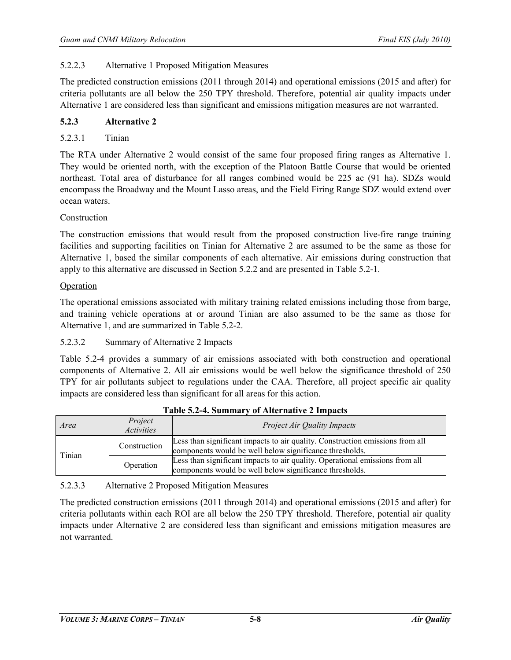## 5.2.2.3 Alternative 1 Proposed Mitigation Measures

The predicted construction emissions (2011 through 2014) and operational emissions (2015 and after) for criteria pollutants are all below the 250 TPY threshold. Therefore, potential air quality impacts under Alternative 1 are considered less than significant and emissions mitigation measures are not warranted.

## **5.2.3 Alternative 2**

5.2.3.1 Tinian

The RTA under Alternative 2 would consist of the same four proposed firing ranges as Alternative 1. They would be oriented north, with the exception of the Platoon Battle Course that would be oriented northeast. Total area of disturbance for all ranges combined would be 225 ac (91 ha). SDZs would encompass the Broadway and the Mount Lasso areas, and the Field Firing Range SDZ would extend over ocean waters.

## Construction

The construction emissions that would result from the proposed construction live-fire range training facilities and supporting facilities on Tinian for Alternative 2 are assumed to be the same as those for Alternative 1, based the similar components of each alternative. Air emissions during construction that apply to this alternative are discussed in Section 5.2.2 and are presented in Table 5.2-1.

#### Operation

The operational emissions associated with military training related emissions including those from barge, and training vehicle operations at or around Tinian are also assumed to be the same as those for Alternative 1, and are summarized in Table 5.2-2.

## 5.2.3.2 Summary of Alternative 2 Impacts

Table 5.2-4 provides a summary of air emissions associated with both construction and operational components of Alternative 2. All air emissions would be well below the significance threshold of 250 TPY for air pollutants subject to regulations under the CAA. Therefore, all project specific air quality impacts are considered less than significant for all areas for this action.

| Area         | Project<br><i>Activities</i> | <b>Project Air Quality Impacts</b>                                                                                                       |
|--------------|------------------------------|------------------------------------------------------------------------------------------------------------------------------------------|
| Construction |                              | Less than significant impacts to air quality. Construction emissions from all<br>components would be well below significance thresholds. |
| Tinian       | Operation                    | Less than significant impacts to air quality. Operational emissions from all<br>components would be well below significance thresholds.  |

## **Table 5.2-4. Summary of Alternative 2 Impacts**

## 5.2.3.3 Alternative 2 Proposed Mitigation Measures

The predicted construction emissions (2011 through 2014) and operational emissions (2015 and after) for criteria pollutants within each ROI are all below the 250 TPY threshold. Therefore, potential air quality impacts under Alternative 2 are considered less than significant and emissions mitigation measures are not warranted.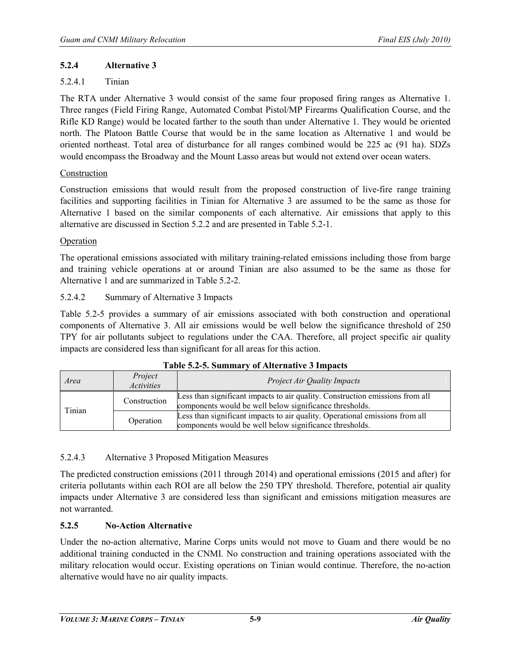## **5.2.4 Alternative 3**

## 5.2.4.1 Tinian

The RTA under Alternative 3 would consist of the same four proposed firing ranges as Alternative 1. Three ranges (Field Firing Range, Automated Combat Pistol/MP Firearms Qualification Course, and the Rifle KD Range) would be located farther to the south than under Alternative 1. They would be oriented north. The Platoon Battle Course that would be in the same location as Alternative 1 and would be oriented northeast. Total area of disturbance for all ranges combined would be 225 ac (91 ha). SDZs would encompass the Broadway and the Mount Lasso areas but would not extend over ocean waters.

## Construction

Construction emissions that would result from the proposed construction of live-fire range training facilities and supporting facilities in Tinian for Alternative 3 are assumed to be the same as those for Alternative 1 based on the similar components of each alternative. Air emissions that apply to this alternative are discussed in Section 5.2.2 and are presented in Table 5.2-1.

## Operation

The operational emissions associated with military training-related emissions including those from barge and training vehicle operations at or around Tinian are also assumed to be the same as those for Alternative 1 and are summarized in Table 5.2-2.

## 5.2.4.2 Summary of Alternative 3 Impacts

Table 5.2-5 provides a summary of air emissions associated with both construction and operational components of Alternative 3. All air emissions would be well below the significance threshold of 250 TPY for air pollutants subject to regulations under the CAA. Therefore, all project specific air quality impacts are considered less than significant for all areas for this action.

| Area                                | Project<br>Activities | <b>Project Air Quality Impacts</b>                                                                                                       |
|-------------------------------------|-----------------------|------------------------------------------------------------------------------------------------------------------------------------------|
| Construction<br>Tinian<br>Operation |                       | Less than significant impacts to air quality. Construction emissions from all<br>components would be well below significance thresholds. |
|                                     |                       | Less than significant impacts to air quality. Operational emissions from all<br>components would be well below significance thresholds.  |

|  | Table 5.2-5. Summary of Alternative 3 Impacts |
|--|-----------------------------------------------|
|--|-----------------------------------------------|

## 5.2.4.3 Alternative 3 Proposed Mitigation Measures

The predicted construction emissions (2011 through 2014) and operational emissions (2015 and after) for criteria pollutants within each ROI are all below the 250 TPY threshold. Therefore, potential air quality impacts under Alternative 3 are considered less than significant and emissions mitigation measures are not warranted.

# **5.2.5 No-Action Alternative**

Under the no-action alternative, Marine Corps units would not move to Guam and there would be no additional training conducted in the CNMI. No construction and training operations associated with the military relocation would occur. Existing operations on Tinian would continue. Therefore, the no-action alternative would have no air quality impacts.